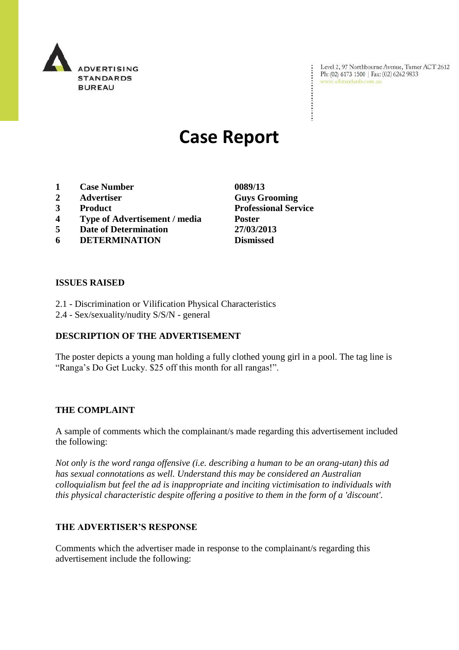

Level 2, 97 Northbourne Avenue, Turner ACT 2612 Ph: (02) 6173 1500 | Fax: (02) 6262 9833 www.adstandards.com.au

# **Case Report**

- **1 Case Number 0089/13**
- **2 Advertiser Guys Grooming**
- 
- **4 Type of Advertisement / media Poster**
- **5 Date of Determination 27/03/2013**
- **6 DETERMINATION Dismissed**

### **ISSUES RAISED**

- 2.1 Discrimination or Vilification Physical Characteristics
- 2.4 Sex/sexuality/nudity S/S/N general

## **DESCRIPTION OF THE ADVERTISEMENT**

The poster depicts a young man holding a fully clothed young girl in a pool. The tag line is "Ranga's Do Get Lucky. \$25 off this month for all rangas!".

#### **THE COMPLAINT**

A sample of comments which the complainant/s made regarding this advertisement included the following:

*Not only is the word ranga offensive (i.e. describing a human to be an orang-utan) this ad has sexual connotations as well. Understand this may be considered an Australian colloquialism but feel the ad is inappropriate and inciting victimisation to individuals with this physical characteristic despite offering a positive to them in the form of a 'discount'.*

## **THE ADVERTISER'S RESPONSE**

Comments which the advertiser made in response to the complainant/s regarding this advertisement include the following:

**3 Product Professional Service**

÷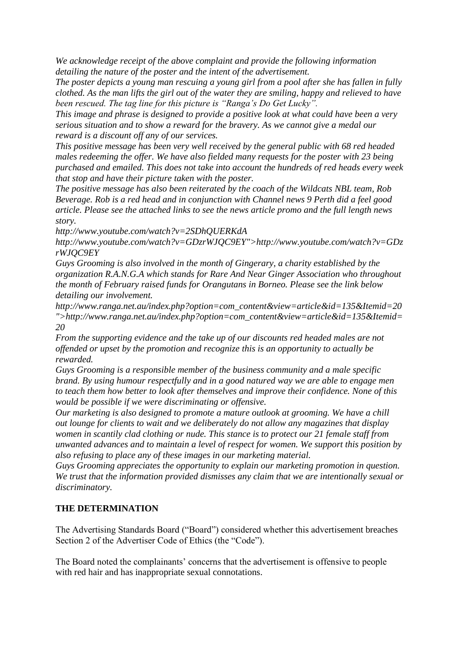*We acknowledge receipt of the above complaint and provide the following information detailing the nature of the poster and the intent of the advertisement.*

*The poster depicts a young man rescuing a young girl from a pool after she has fallen in fully clothed. As the man lifts the girl out of the water they are smiling, happy and relieved to have been rescued. The tag line for this picture is "Ranga's Do Get Lucky".*

*This image and phrase is designed to provide a positive look at what could have been a very serious situation and to show a reward for the bravery. As we cannot give a medal our reward is a discount off any of our services.*

*This positive message has been very well received by the general public with 68 red headed males redeeming the offer. We have also fielded many requests for the poster with 23 being purchased and emailed. This does not take into account the hundreds of red heads every week that stop and have their picture taken with the poster.*

*The positive message has also been reiterated by the coach of the Wildcats NBL team, Rob Beverage. Rob is a red head and in conjunction with Channel news 9 Perth did a feel good article. Please see the attached links to see the news article promo and the full length news story.*

*http://www.youtube.com/watch?v=2SDhQUERKdA*

*http://www.youtube.com/watch?v=GDzrWJQC9EY">http://www.youtube.com/watch?v=GDz rWJQC9EY*

*Guys Grooming is also involved in the month of Gingerary, a charity established by the organization R.A.N.G.A which stands for Rare And Near Ginger Association who throughout the month of February raised funds for Orangutans in Borneo. Please see the link below detailing our involvement.*

*http://www.ranga.net.au/index.php?option=com\_content&view=article&id=135&Itemid=20 ">http://www.ranga.net.au/index.php?option=com\_content&view=article&id=135&Itemid= 20*

*From the supporting evidence and the take up of our discounts red headed males are not offended or upset by the promotion and recognize this is an opportunity to actually be rewarded.*

*Guys Grooming is a responsible member of the business community and a male specific brand. By using humour respectfully and in a good natured way we are able to engage men to teach them how better to look after themselves and improve their confidence. None of this would be possible if we were discriminating or offensive.*

*Our marketing is also designed to promote a mature outlook at grooming. We have a chill out lounge for clients to wait and we deliberately do not allow any magazines that display women in scantily clad clothing or nude. This stance is to protect our 21 female staff from unwanted advances and to maintain a level of respect for women. We support this position by also refusing to place any of these images in our marketing material.*

*Guys Grooming appreciates the opportunity to explain our marketing promotion in question. We trust that the information provided dismisses any claim that we are intentionally sexual or discriminatory.*

## **THE DETERMINATION**

The Advertising Standards Board ("Board") considered whether this advertisement breaches Section 2 of the Advertiser Code of Ethics (the "Code").

The Board noted the complainants' concerns that the advertisement is offensive to people with red hair and has inappropriate sexual connotations.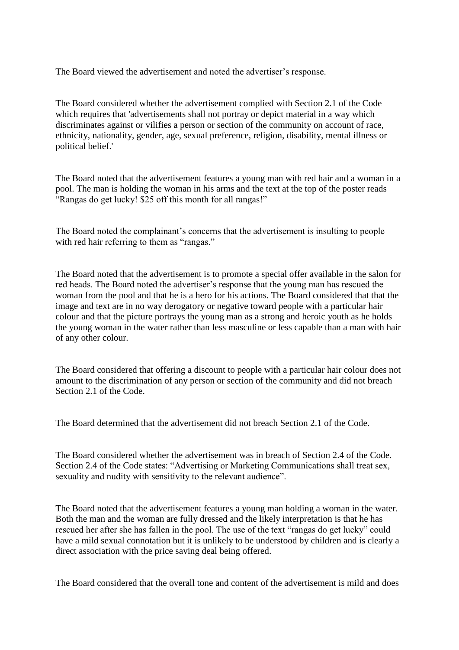The Board viewed the advertisement and noted the advertiser's response.

The Board considered whether the advertisement complied with Section 2.1 of the Code which requires that 'advertisements shall not portray or depict material in a way which discriminates against or vilifies a person or section of the community on account of race, ethnicity, nationality, gender, age, sexual preference, religion, disability, mental illness or political belief.'

The Board noted that the advertisement features a young man with red hair and a woman in a pool. The man is holding the woman in his arms and the text at the top of the poster reads "Rangas do get lucky! \$25 off this month for all rangas!"

The Board noted the complainant's concerns that the advertisement is insulting to people with red hair referring to them as "rangas."

The Board noted that the advertisement is to promote a special offer available in the salon for red heads. The Board noted the advertiser's response that the young man has rescued the woman from the pool and that he is a hero for his actions. The Board considered that that the image and text are in no way derogatory or negative toward people with a particular hair colour and that the picture portrays the young man as a strong and heroic youth as he holds the young woman in the water rather than less masculine or less capable than a man with hair of any other colour.

The Board considered that offering a discount to people with a particular hair colour does not amount to the discrimination of any person or section of the community and did not breach Section 2.1 of the Code.

The Board determined that the advertisement did not breach Section 2.1 of the Code.

The Board considered whether the advertisement was in breach of Section 2.4 of the Code. Section 2.4 of the Code states: "Advertising or Marketing Communications shall treat sex, sexuality and nudity with sensitivity to the relevant audience".

The Board noted that the advertisement features a young man holding a woman in the water. Both the man and the woman are fully dressed and the likely interpretation is that he has rescued her after she has fallen in the pool. The use of the text "rangas do get lucky" could have a mild sexual connotation but it is unlikely to be understood by children and is clearly a direct association with the price saving deal being offered.

The Board considered that the overall tone and content of the advertisement is mild and does